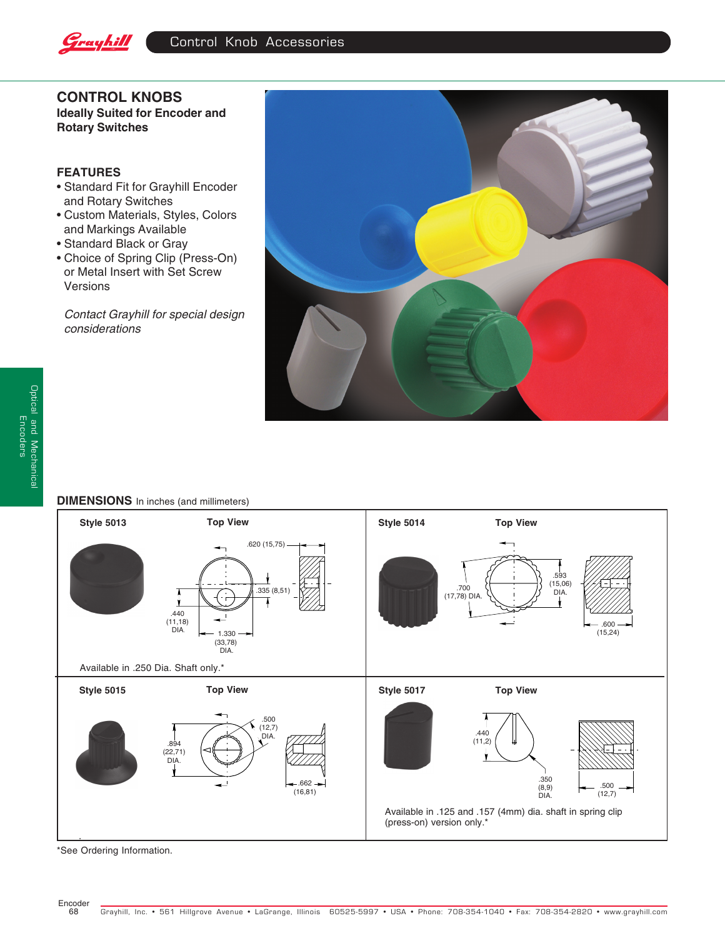

**CONTROL KNOBS Ideally Suited for Encoder and Rotary Switches**

## **FEATURES**

- Standard Fit for Grayhill Encoder and Rotary Switches
- Custom Materials, Styles, Colors and Markings Available
- Standard Black or Gray
- Choice of Spring Clip (Press-On) or Metal Insert with Set Screw Versions

Contact Grayhill for special design considerations



## **DIMENSIONS** In inches (and millimeters)



\*See Ordering Information.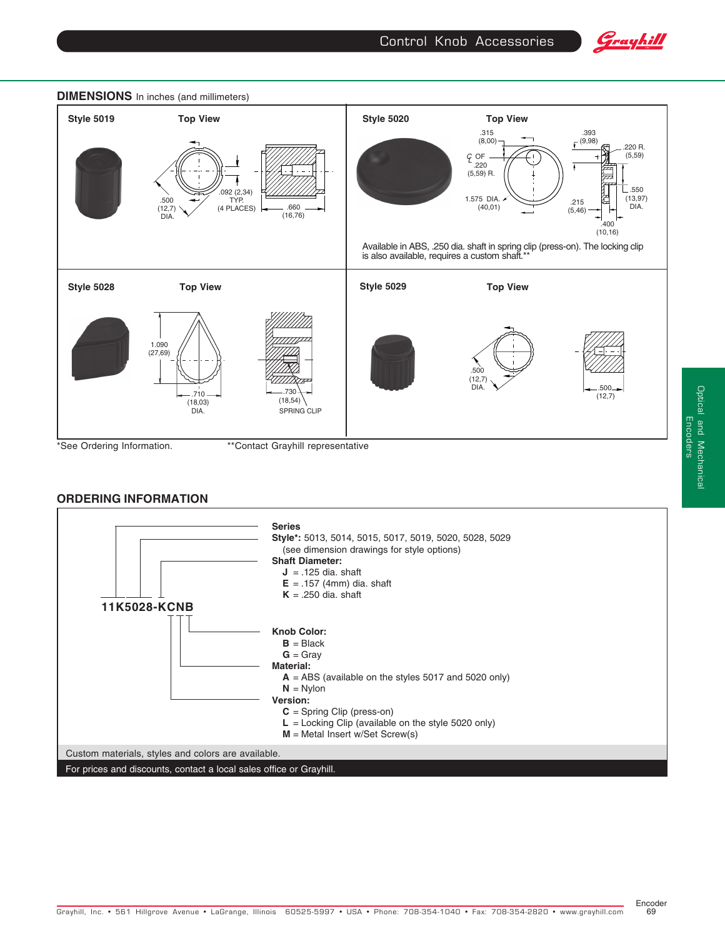







Encoder 69

Optical and Mechanical Encoders

Optical and Mechanical<br>Encoders